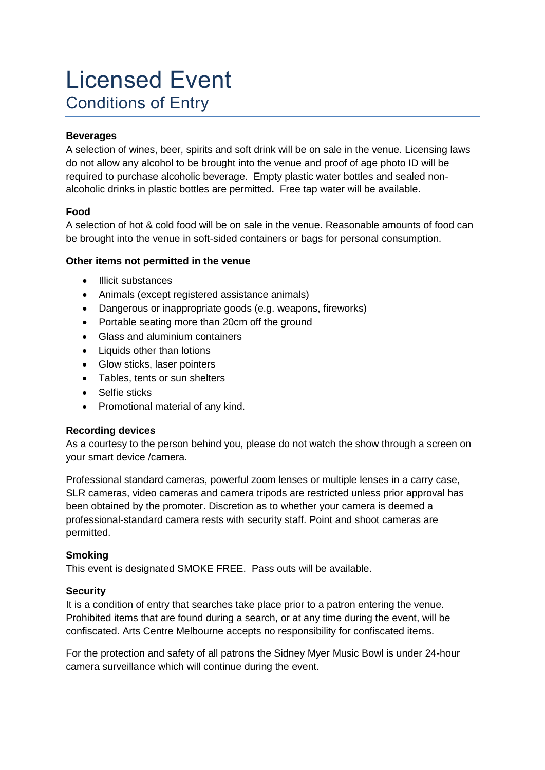# Licensed Event Conditions of Entry

## **Beverages**

A selection of wines, beer, spirits and soft drink will be on sale in the venue. Licensing laws do not allow any alcohol to be brought into the venue and proof of age photo ID will be required to purchase alcoholic beverage. Empty plastic water bottles and sealed nonalcoholic drinks in plastic bottles are permitted**.** Free tap water will be available.

## **Food**

A selection of hot & cold food will be on sale in the venue. Reasonable amounts of food can be brought into the venue in soft-sided containers or bags for personal consumption.

#### **Other items not permitted in the venue**

- Illicit substances
- Animals (except registered assistance animals)
- Dangerous or inappropriate goods (e.g. weapons, fireworks)
- Portable seating more than 20cm off the ground
- Glass and aluminium containers
- Liquids other than lotions
- Glow sticks, laser pointers
- Tables, tents or sun shelters
- Selfie sticks
- Promotional material of any kind.

#### **Recording devices**

As a courtesy to the person behind you, please do not watch the show through a screen on your smart device /camera.

Professional standard cameras, powerful zoom lenses or multiple lenses in a carry case, SLR cameras, video cameras and camera tripods are restricted unless prior approval has been obtained by the promoter. Discretion as to whether your camera is deemed a professional-standard camera rests with security staff. Point and shoot cameras are permitted.

## **Smoking**

This event is designated SMOKE FREE. Pass outs will be available.

#### **Security**

It is a condition of entry that searches take place prior to a patron entering the venue. Prohibited items that are found during a search, or at any time during the event, will be confiscated. Arts Centre Melbourne accepts no responsibility for confiscated items.

For the protection and safety of all patrons the Sidney Myer Music Bowl is under 24-hour camera surveillance which will continue during the event.